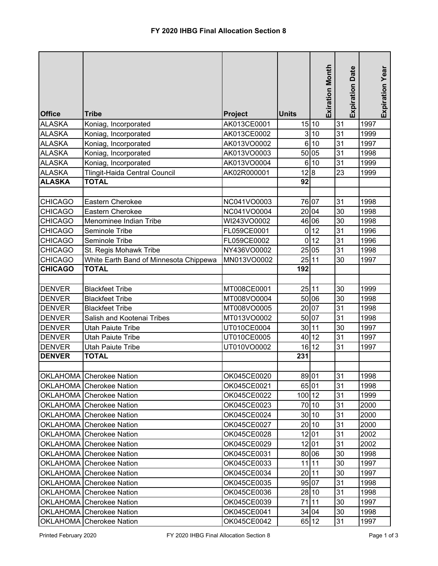|                |                                        |                |              | <b>Exiration Month</b> | <b>Expiration Date</b> | Expiration Year |
|----------------|----------------------------------------|----------------|--------------|------------------------|------------------------|-----------------|
|                |                                        |                |              |                        |                        |                 |
| <b>Office</b>  | <b>Tribe</b>                           | <b>Project</b> | <b>Units</b> |                        |                        |                 |
| <b>ALASKA</b>  | Koniag, Incorporated                   | AK013CE0001    |              | 15 10                  | 31                     | 1997            |
| <b>ALASKA</b>  | Koniag, Incorporated                   | AK013CE0002    |              | 3 10                   | 31                     | 1999            |
| <b>ALASKA</b>  | Koniag, Incorporated                   | AK013VO0002    |              | 6 10                   | 31                     | 1997            |
| <b>ALASKA</b>  | Koniag, Incorporated                   | AK013VO0003    |              | 50 05                  | 31                     | 1998            |
| <b>ALASKA</b>  | Koniag, Incorporated                   | AK013VO0004    |              | 6 10                   | 31                     | 1999            |
| <b>ALASKA</b>  | Tlingit-Haida Central Council          | AK02R000001    | 12 8         |                        | 23                     | 1999            |
| <b>ALASKA</b>  | <b>TOTAL</b>                           |                | 92           |                        |                        |                 |
|                |                                        |                |              |                        |                        |                 |
| <b>CHICAGO</b> | Eastern Cherokee                       | NC041VO0003    |              | 76 07                  | 31                     | 1998            |
| <b>CHICAGO</b> | Eastern Cherokee                       | NC041VO0004    |              | 20 04                  | 30                     | 1998            |
| <b>CHICAGO</b> | Menominee Indian Tribe                 | WI243VO0002    |              | 46 06                  | 30                     | 1998            |
| <b>CHICAGO</b> | Seminole Tribe                         | FL059CE0001    |              | $0$ 12                 | 31                     | 1996            |
| <b>CHICAGO</b> | Seminole Tribe                         | FL059CE0002    |              | 0 12                   | 31                     | 1996            |
| <b>CHICAGO</b> | St. Regis Mohawk Tribe                 | NY436VO0002    |              | 25 05                  | 31                     | 1998            |
| <b>CHICAGO</b> | White Earth Band of Minnesota Chippewa | MN013VO0002    | 25 11        |                        | 30                     | 1997            |
| <b>CHICAGO</b> | <b>TOTAL</b>                           |                | 192          |                        |                        |                 |
|                |                                        |                |              |                        |                        |                 |
| <b>DENVER</b>  | <b>Blackfeet Tribe</b>                 | MT008CE0001    | 25 11        |                        | 30                     | 1999            |
| <b>DENVER</b>  | <b>Blackfeet Tribe</b>                 | MT008VO0004    |              | 50 06                  | 30                     | 1998            |
| <b>DENVER</b>  | <b>Blackfeet Tribe</b>                 | MT008VO0005    |              | 20 07                  | 31                     | 1998            |
| <b>DENVER</b>  | Salish and Kootenai Tribes             | MT013VO0002    |              | 50 07                  | 31                     | 1998            |
| <b>DENVER</b>  | <b>Utah Paiute Tribe</b>               | UT010CE0004    | 30 11        |                        | 30                     | 1997            |
| <b>DENVER</b>  | <b>Utah Paiute Tribe</b>               | UT010CE0005    | 40 12        |                        | 31                     | 1997            |
| <b>DENVER</b>  | <b>Utah Paiute Tribe</b>               | UT010VO0002    |              | 16 12                  | 31                     | 1997            |
| <b>DENVER</b>  | <b>TOTAL</b>                           |                | 231          |                        |                        |                 |
|                |                                        |                |              |                        |                        |                 |
|                | <b>OKLAHOMA</b> Cherokee Nation        | OK045CE0020    | 89 01        |                        | 31                     | 1998            |
|                | <b>OKLAHOMA</b> Cherokee Nation        | OK045CE0021    | 65 01        |                        | 31                     | 1998            |
|                | <b>OKLAHOMA</b> Cherokee Nation        | OK045CE0022    | 100 12       |                        | 31                     | 1999            |
|                | OKLAHOMA Cherokee Nation               | OK045CE0023    |              | 70 10                  | 31                     | 2000            |
|                | OKLAHOMA Cherokee Nation               | OK045CE0024    |              | 30 10                  | 31                     | 2000            |
|                | OKLAHOMA Cherokee Nation               | OK045CE0027    |              | 20 10                  | 31                     | 2000            |
|                | OKLAHOMA Cherokee Nation               | OK045CE0028    |              | 12 01                  | 31                     | 2002            |
|                | OKLAHOMA Cherokee Nation               | OK045CE0029    |              | 12 01                  | 31                     | 2002            |
|                | OKLAHOMA Cherokee Nation               | OK045CE0031    |              | 80 06                  | 30                     | 1998            |
|                | OKLAHOMA Cherokee Nation               | OK045CE0033    |              | $11$  11               | 30                     | 1997            |
|                | OKLAHOMA Cherokee Nation               | OK045CE0034    | 20 11        |                        | 30                     | 1997            |
|                | OKLAHOMA Cherokee Nation               | OK045CE0035    |              | 95 07                  | 31                     | 1998            |
|                | OKLAHOMA Cherokee Nation               | OK045CE0036    |              | 28 10                  | 31                     | 1998            |
|                | OKLAHOMA Cherokee Nation               | OK045CE0039    | 71   11      |                        | 30                     | 1997            |
|                | OKLAHOMA Cherokee Nation               | OK045CE0041    |              | 34 04                  | 30                     | 1998            |
|                | OKLAHOMA Cherokee Nation               | OK045CE0042    |              | 65 12                  | 31                     | 1997            |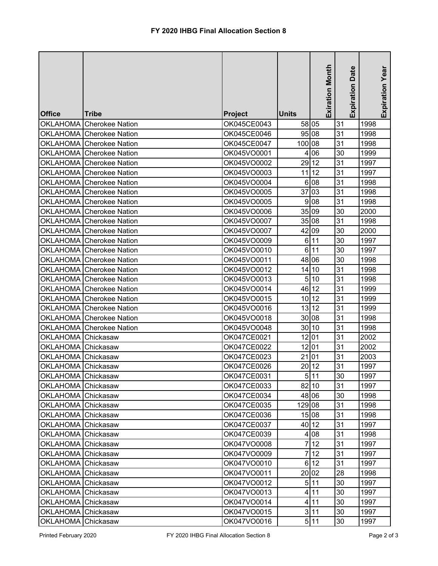|                    |                                 |             |              | <b>Exiration Month</b> | <b>Expiration Date</b> | Expiration Year |
|--------------------|---------------------------------|-------------|--------------|------------------------|------------------------|-----------------|
| <b>Office</b>      | <b>Tribe</b>                    | Project     | <b>Units</b> |                        |                        |                 |
|                    | OKLAHOMA Cherokee Nation        | OK045CE0043 | 58 05        |                        | 31                     | 1998            |
|                    | OKLAHOMA Cherokee Nation        | OK045CE0046 |              | 95 08                  | 31                     | 1998            |
|                    | OKLAHOMA Cherokee Nation        | OK045CE0047 | 100 08       |                        | 31                     | 1998            |
|                    | OKLAHOMA Cherokee Nation        | OK045VO0001 |              | 4 06                   | 30                     | 1999            |
|                    | OKLAHOMA Cherokee Nation        | OK045VO0002 |              | 29 12                  | 31                     | 1997            |
|                    | <b>OKLAHOMA</b> Cherokee Nation | OK045VO0003 |              | 11 12                  | 31                     | 1997            |
|                    | OKLAHOMA Cherokee Nation        | OK045VO0004 |              | 6 08                   | 31                     | 1998            |
|                    | OKLAHOMA Cherokee Nation        | OK045VO0005 |              | 37 03                  | 31                     | 1998            |
|                    | OKLAHOMA Cherokee Nation        | OK045VO0005 |              | 9 08                   | 31                     | 1998            |
|                    | OKLAHOMA Cherokee Nation        | OK045VO0006 |              | 35 09                  | 30                     | 2000            |
|                    | OKLAHOMA Cherokee Nation        | OK045VO0007 |              | 35 08                  | 31                     | 1998            |
|                    | OKLAHOMA Cherokee Nation        | OK045VO0007 |              | 42 09                  | 30                     | 2000            |
|                    | OKLAHOMA Cherokee Nation        | OK045VO0009 |              | 6 11                   | 30                     | 1997            |
|                    | <b>OKLAHOMA</b> Cherokee Nation | OK045VO0010 |              | 6 11                   | 30                     | 1997            |
|                    | OKLAHOMA Cherokee Nation        | OK045VO0011 |              | 48 06                  | 30                     | 1998            |
|                    | OKLAHOMA Cherokee Nation        | OK045VO0012 |              | 14 10                  | 31                     | 1998            |
|                    | OKLAHOMA Cherokee Nation        | OK045VO0013 |              | 5 10                   | 31                     | 1998            |
|                    | OKLAHOMA Cherokee Nation        | OK045VO0014 |              | 46 12                  | 31                     | 1999            |
|                    | OKLAHOMA Cherokee Nation        | OK045VO0015 |              | 10 12                  | 31                     | 1999            |
|                    | OKLAHOMA Cherokee Nation        | OK045VO0016 |              | 13 12                  | 31                     | 1999            |
|                    | OKLAHOMA Cherokee Nation        | OK045VO0018 |              | 30 08                  | 31                     | 1998            |
|                    | OKLAHOMA Cherokee Nation        | OK045VO0048 |              | 30 10                  | 31                     | 1998            |
| <b>OKLAHOMA</b>    | Chickasaw                       | OK047CE0021 |              | 12 01                  | 31                     | 2002            |
| <b>OKLAHOMA</b>    | Chickasaw                       | OK047CE0022 | 12 01        |                        | 31                     | 2002            |
| OKLAHOMA Chickasaw |                                 | OK047CE0023 | 21 01        |                        | 31                     | 2003            |
| OKLAHOMA Chickasaw |                                 | OK047CE0026 |              | 2012                   | 31                     | 1997            |
| OKLAHOMA Chickasaw |                                 | OK047CE0031 |              | 5 11                   | 30                     | 1997            |
| OKLAHOMA Chickasaw |                                 | OK047CE0033 |              | 82 10                  | 31                     | 1997            |
| OKLAHOMA Chickasaw |                                 | OK047CE0034 | 48 06        |                        | 30                     | 1998            |
| OKLAHOMA Chickasaw |                                 | OK047CE0035 | 129 08       |                        | 31                     | 1998            |
| OKLAHOMA Chickasaw |                                 | OK047CE0036 |              | 15 08                  | 31                     | 1998            |
| OKLAHOMA Chickasaw |                                 | OK047CE0037 |              | 40 12                  | 31                     | 1997            |
| OKLAHOMA Chickasaw |                                 | OK047CE0039 |              | 4 0 8                  | 31                     | 1998            |
| OKLAHOMA Chickasaw |                                 | OK047VO0008 |              | 712                    | 31                     | 1997            |
| OKLAHOMA Chickasaw |                                 | OK047VO0009 |              | 712                    | 31                     | 1997            |
| OKLAHOMA Chickasaw |                                 | OK047VO0010 |              | 6 12                   | 31                     | 1997            |
| OKLAHOMA Chickasaw |                                 | OK047VO0011 |              | 20 02                  | 28                     | 1998            |
| OKLAHOMA Chickasaw |                                 | OK047VO0012 |              | 5 11                   | 30                     | 1997            |
| OKLAHOMA Chickasaw |                                 | OK047VO0013 |              | 4 11                   | 30                     | 1997            |
| OKLAHOMA Chickasaw |                                 | OK047VO0014 |              | 4 11                   | 30                     | 1997            |
| OKLAHOMA Chickasaw |                                 | OK047VO0015 |              | 3 11                   | 30                     | 1997            |
| OKLAHOMA Chickasaw |                                 | OK047VO0016 |              | 5 11                   | 30                     | 1997            |